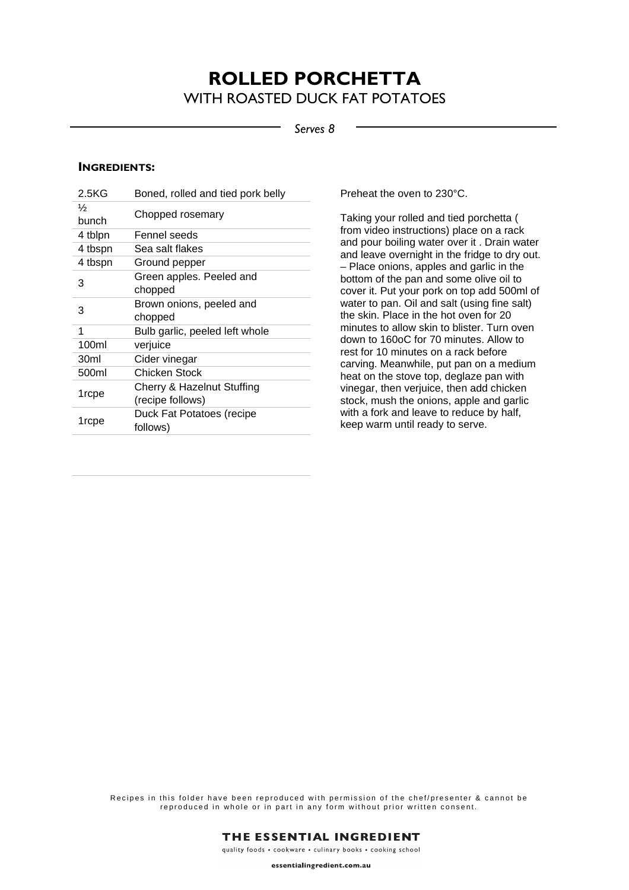## **ROLLED PORCHETTA**  WITH ROASTED DUCK FAT POTATOES

*Serves 8*

#### **INGREDIENTS:**

| 2.5KG         | Boned, rolled and tied pork belly |
|---------------|-----------------------------------|
| $\frac{1}{2}$ | Chopped rosemary                  |
| bunch         |                                   |
| 4 tblpn       | Fennel seeds                      |
| 4 tbspn       | Sea salt flakes                   |
| 4 tbspn       | Ground pepper                     |
| 3             | Green apples. Peeled and          |
|               | chopped                           |
| 3             | Brown onions, peeled and          |
|               |                                   |
|               | chopped                           |
| 1             | Bulb garlic, peeled left whole    |
| 100ml         | verjuice                          |
| 30ml          | Cider vinegar                     |
| 500ml         | Chicken Stock                     |
|               | Cherry & Hazelnut Stuffing        |
| 1rcpe         | (recipe follows)                  |
| 1rcpe         | Duck Fat Potatoes (recipe         |

Preheat the oven to 230°C.

Taking your rolled and tied porchetta ( from video instructions) place on a rack and pour boiling water over it . Drain water and leave overnight in the fridge to dry out. – Place onions, apples and garlic in the bottom of the pan and some olive oil to cover it. Put your pork on top add 500ml of water to pan. Oil and salt (using fine salt) the skin. Place in the hot oven for 20 minutes to allow skin to blister. Turn oven down to 160oC for 70 minutes. Allow to rest for 10 minutes on a rack before carving. Meanwhile, put pan on a medium heat on the stove top, deglaze pan with vinegar, then verjuice, then add chicken stock, mush the onions, apple and garlic with a fork and leave to reduce by half, keep warm until ready to serve.

Recipes in this folder have been reproduced with permission of the chef/presenter & cannot be reproduced in whole or in part in any form without prior written consent.



quality foods . cookware . culinary books . cooking school

essentialingredient.com.au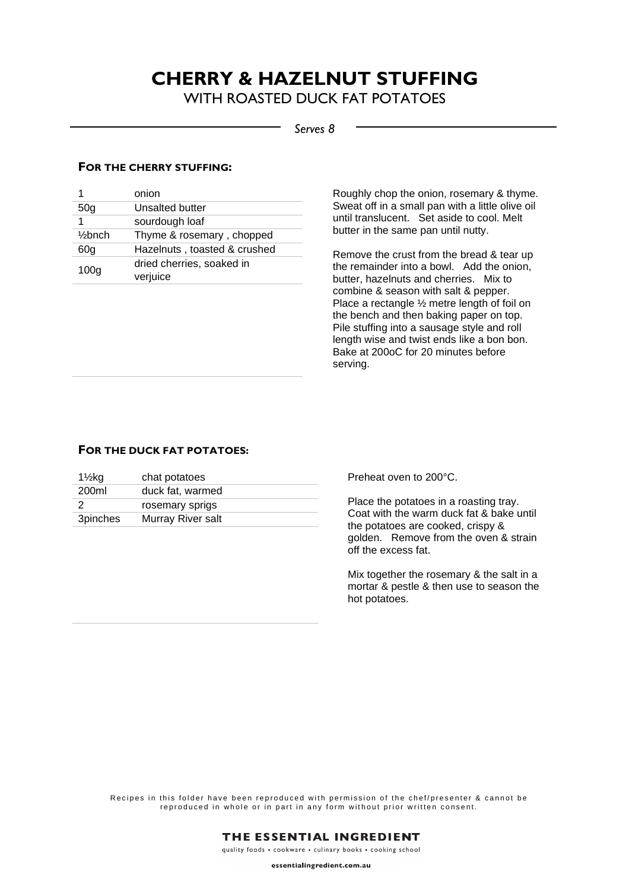# **CHERRY & HAZELNUT STUFFING**

WITH ROASTED DUCK FAT POTATOES

#### *Serves 8*

#### **FOR THE CHERRY STUFFING:**

|                    | onion                                 |
|--------------------|---------------------------------------|
| 50 <sub>g</sub>    | Unsalted butter                       |
|                    | sourdough loaf                        |
| $\frac{1}{2}$ bnch | Thyme & rosemary, chopped             |
| 60g                | Hazelnuts, toasted & crushed          |
| 100 <sub>g</sub>   | dried cherries, soaked in<br>verjuice |

Roughly chop the onion, rosemary & thyme. Sweat off in a small pan with a little olive oil until translucent. Set aside to cool. Melt butter in the same pan until nutty.

Remove the crust from the bread & tear up the remainder into a bowl. Add the onion, butter, hazelnuts and cherries. Mix to combine & season with salt & pepper. Place a rectangle ½ metre length of foil on the bench and then baking paper on top. Pile stuffing into a sausage style and roll length wise and twist ends like a bon bon. Bake at 200oC for 20 minutes before serving.

#### **FOR THE DUCK FAT POTATOES:**

| $1\frac{1}{2}$ kg | chat potatoes     |
|-------------------|-------------------|
| 200ml             | duck fat, warmed  |
|                   | rosemary sprigs   |
| <b>3pinches</b>   | Murray River salt |

Preheat oven to 200°C.

Place the potatoes in a roasting tray. Coat with the warm duck fat & bake until the potatoes are cooked, crispy & golden. Remove from the oven & strain off the excess fat.

Mix together the rosemary & the salt in a mortar & pestle & then use to season the hot potatoes.

Recipes in this folder have been reproduced with permission of the chef/presenter & cannot be reproduced in whole or in part in any form without prior written consent.



essentialingredient.com.au